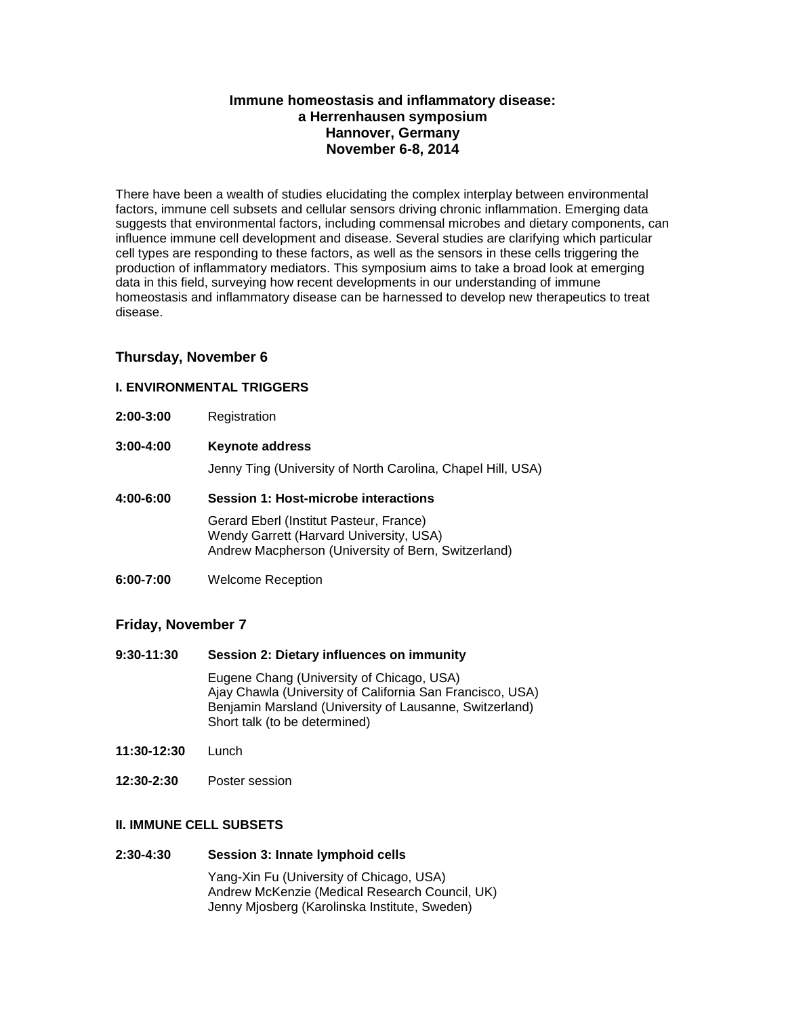# **Immune homeostasis and inflammatory disease: a Herrenhausen symposium Hannover, Germany November 6-8, 2014**

There have been a wealth of studies elucidating the complex interplay between environmental factors, immune cell subsets and cellular sensors driving chronic inflammation. Emerging data suggests that environmental factors, including commensal microbes and dietary components, can influence immune cell development and disease. Several studies are clarifying which particular cell types are responding to these factors, as well as the sensors in these cells triggering the production of inflammatory mediators. This symposium aims to take a broad look at emerging data in this field, surveying how recent developments in our understanding of immune homeostasis and inflammatory disease can be harnessed to develop new therapeutics to treat disease.

## **Thursday, November 6**

## **I. ENVIRONMENTAL TRIGGERS**

- **2:00-3:00** Registration
- **3:00-4:00 Keynote address**

Jenny Ting (University of North Carolina, Chapel Hill, USA)

## **4:00-6:00 Session 1: Host-microbe interactions**

Gerard Eberl (Institut Pasteur, France) Wendy Garrett (Harvard University, USA) Andrew Macpherson (University of Bern, Switzerland)

**6:00-7:00** Welcome Reception

## **Friday, November 7**

**9:30-11:30 Session 2: Dietary influences on immunity**

Eugene Chang (University of Chicago, USA) Ajay Chawla (University of California San Francisco, USA) Benjamin Marsland (University of Lausanne, Switzerland) Short talk (to be determined)

- **11:30-12:30** Lunch
- **12:30-2:30** Poster session

# **II. IMMUNE CELL SUBSETS**

### **2:30-4:30 Session 3: Innate lymphoid cells**

Yang-Xin Fu (University of Chicago, USA) Andrew McKenzie (Medical Research Council, UK) Jenny Mjosberg (Karolinska Institute, Sweden)